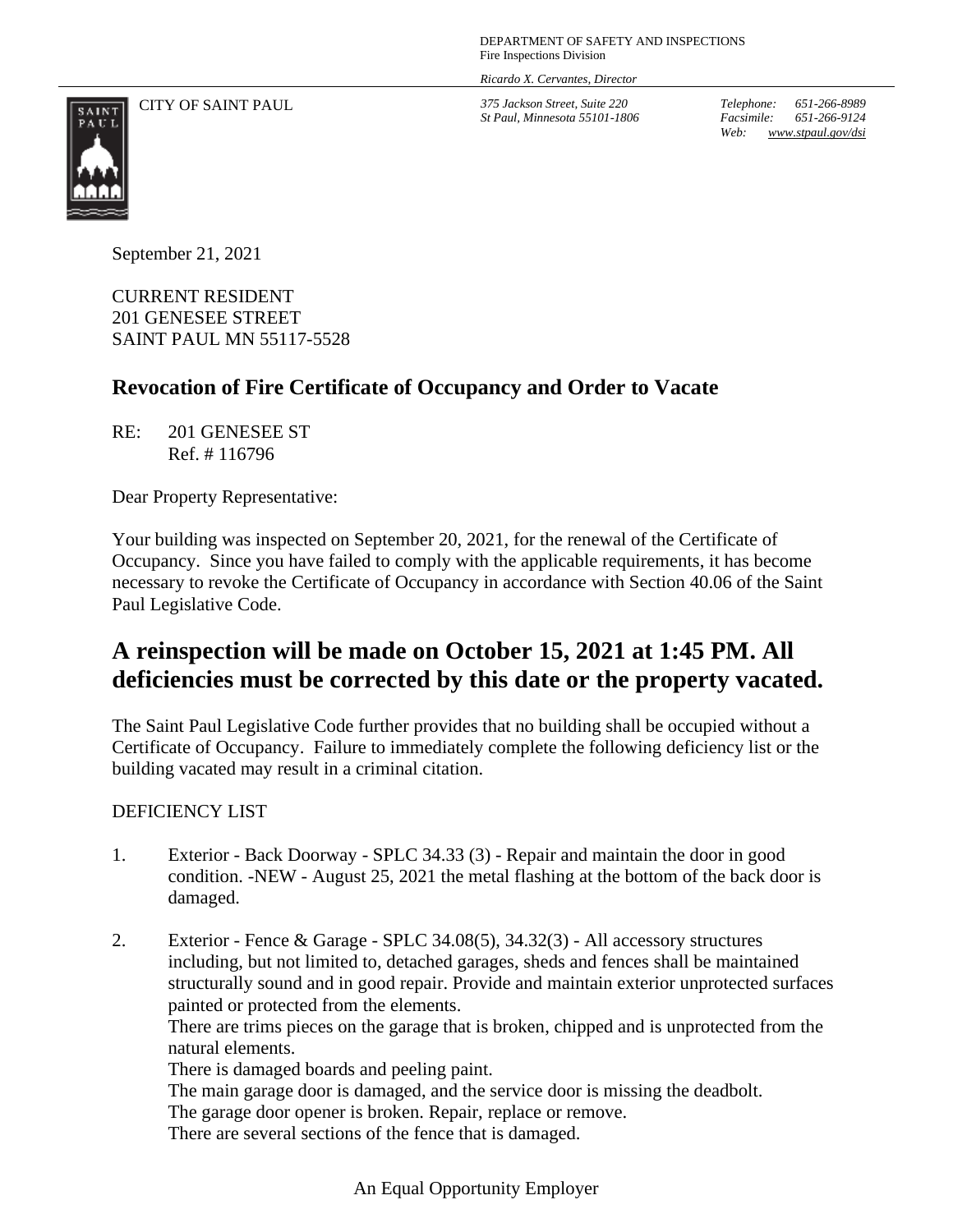DEPARTMENT OF SAFETY AND INSPECTIONS Fire Inspections Division

*Ricardo X. Cervantes, Director*

CITY OF SAINT PAUL *375 Jackson Street, Suite 220*

*St Paul, Minnesota 55101-1806*

*Telephone: 651-266-8989 Facsimile: 651-266-9124 Web: www.stpaul.gov/dsi*



September 21, 2021

CURRENT RESIDENT 201 GENESEE STREET SAINT PAUL MN 55117-5528

## **Revocation of Fire Certificate of Occupancy and Order to Vacate**

RE: 201 GENESEE ST Ref. # 116796

Dear Property Representative:

Your building was inspected on September 20, 2021, for the renewal of the Certificate of Occupancy. Since you have failed to comply with the applicable requirements, it has become necessary to revoke the Certificate of Occupancy in accordance with Section 40.06 of the Saint Paul Legislative Code.

## **A reinspection will be made on October 15, 2021 at 1:45 PM. All deficiencies must be corrected by this date or the property vacated.**

The Saint Paul Legislative Code further provides that no building shall be occupied without a Certificate of Occupancy. Failure to immediately complete the following deficiency list or the building vacated may result in a criminal citation.

## DEFICIENCY LIST

- 1. Exterior Back Doorway SPLC 34.33 (3) Repair and maintain the door in good condition. -NEW - August 25, 2021 the metal flashing at the bottom of the back door is damaged.
- 2. Exterior Fence & Garage SPLC 34.08(5), 34.32(3) All accessory structures including, but not limited to, detached garages, sheds and fences shall be maintained structurally sound and in good repair. Provide and maintain exterior unprotected surfaces painted or protected from the elements.

There are trims pieces on the garage that is broken, chipped and is unprotected from the natural elements.

There is damaged boards and peeling paint.

The main garage door is damaged, and the service door is missing the deadbolt. The garage door opener is broken. Repair, replace or remove. There are several sections of the fence that is damaged.

An Equal Opportunity Employer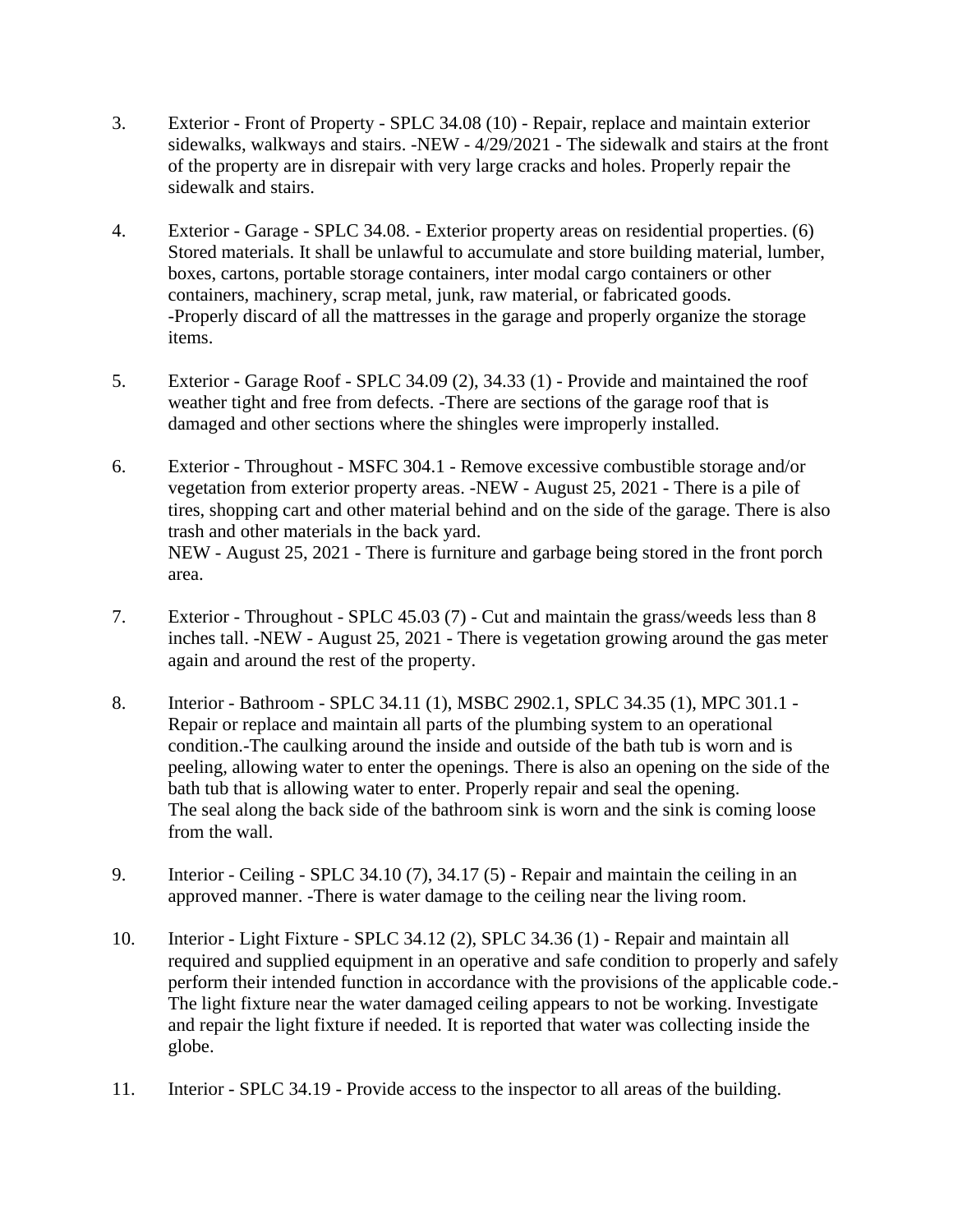- 3. Exterior Front of Property SPLC 34.08 (10) Repair, replace and maintain exterior sidewalks, walkways and stairs. -NEW - 4/29/2021 - The sidewalk and stairs at the front of the property are in disrepair with very large cracks and holes. Properly repair the sidewalk and stairs.
- 4. Exterior Garage SPLC 34.08. Exterior property areas on residential properties. (6) Stored materials. It shall be unlawful to accumulate and store building material, lumber, boxes, cartons, portable storage containers, inter modal cargo containers or other containers, machinery, scrap metal, junk, raw material, or fabricated goods. -Properly discard of all the mattresses in the garage and properly organize the storage items.
- 5. Exterior Garage Roof SPLC 34.09 (2), 34.33 (1) Provide and maintained the roof weather tight and free from defects. -There are sections of the garage roof that is damaged and other sections where the shingles were improperly installed.
- 6. Exterior Throughout MSFC 304.1 Remove excessive combustible storage and/or vegetation from exterior property areas. -NEW - August 25, 2021 - There is a pile of tires, shopping cart and other material behind and on the side of the garage. There is also trash and other materials in the back yard. NEW - August 25, 2021 - There is furniture and garbage being stored in the front porch area.
- 7. Exterior Throughout SPLC 45.03 (7) Cut and maintain the grass/weeds less than 8 inches tall. -NEW - August 25, 2021 - There is vegetation growing around the gas meter again and around the rest of the property.
- 8. Interior Bathroom SPLC 34.11 (1), MSBC 2902.1, SPLC 34.35 (1), MPC 301.1 Repair or replace and maintain all parts of the plumbing system to an operational condition.-The caulking around the inside and outside of the bath tub is worn and is peeling, allowing water to enter the openings. There is also an opening on the side of the bath tub that is allowing water to enter. Properly repair and seal the opening. The seal along the back side of the bathroom sink is worn and the sink is coming loose from the wall.
- 9. Interior Ceiling SPLC 34.10 (7), 34.17 (5) Repair and maintain the ceiling in an approved manner. -There is water damage to the ceiling near the living room.
- 10. Interior Light Fixture SPLC 34.12 (2), SPLC 34.36 (1) Repair and maintain all required and supplied equipment in an operative and safe condition to properly and safely perform their intended function in accordance with the provisions of the applicable code.- The light fixture near the water damaged ceiling appears to not be working. Investigate and repair the light fixture if needed. It is reported that water was collecting inside the globe.
- 11. Interior SPLC 34.19 Provide access to the inspector to all areas of the building.